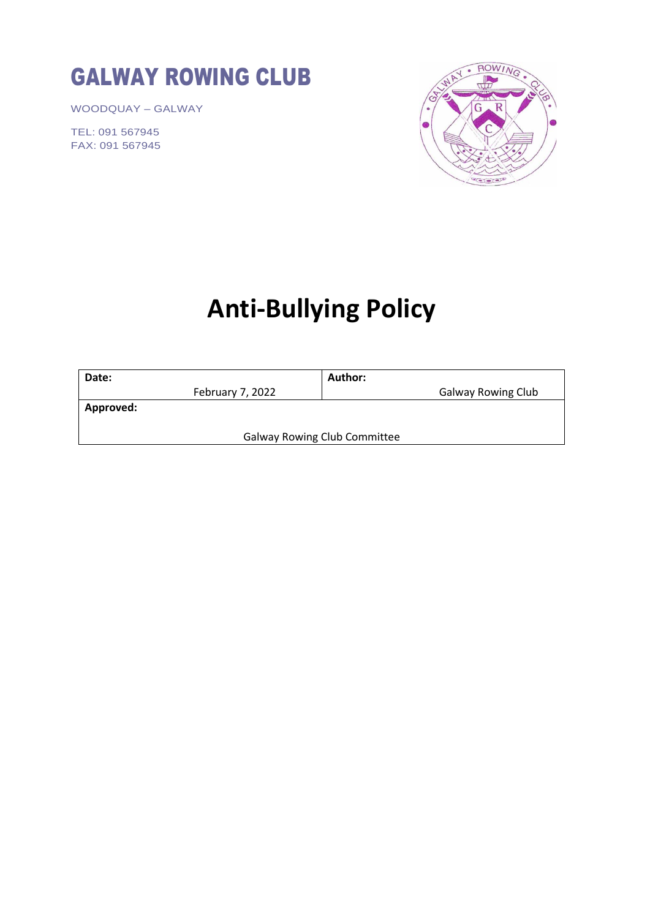# GALWAY ROWING CLUB

WOODQUAY – GALWAY

TEL: 091 567945 FAX: 091 567945



# **Anti-Bullying Policy**

| Date:                               | Author:                   |  |
|-------------------------------------|---------------------------|--|
| February 7, 2022                    | <b>Galway Rowing Club</b> |  |
| Approved:                           |                           |  |
|                                     |                           |  |
| <b>Galway Rowing Club Committee</b> |                           |  |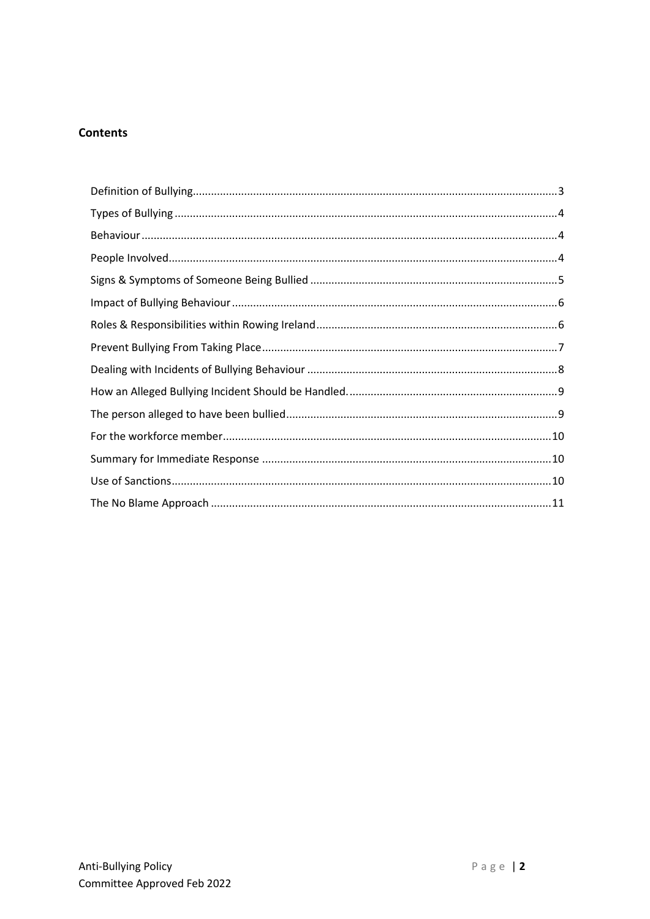# **Contents**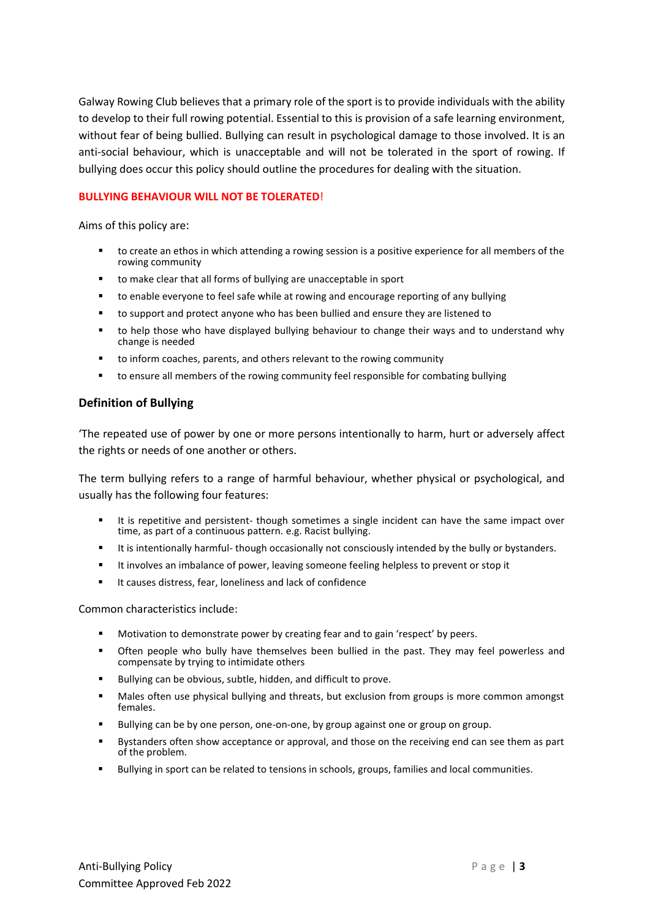Galway Rowing Club believes that a primary role of the sport is to provide individuals with the ability to develop to their full rowing potential. Essential to this is provision of a safe learning environment, without fear of being bullied. Bullying can result in psychological damage to those involved. It is an anti-social behaviour, which is unacceptable and will not be tolerated in the sport of rowing. If bullying does occur this policy should outline the procedures for dealing with the situation.

#### **BULLYING BEHAVIOUR WILL NOT BE TOLERATED**!

Aims of this policy are:

- to create an ethos in which attending a rowing session is a positive experience for all members of the rowing community
- to make clear that all forms of bullying are unacceptable in sport
- to enable everyone to feel safe while at rowing and encourage reporting of any bullying
- to support and protect anyone who has been bullied and ensure they are listened to
- to help those who have displayed bullying behaviour to change their ways and to understand why change is needed
- to inform coaches, parents, and others relevant to the rowing community
- to ensure all members of the rowing community feel responsible for combating bullying

## <span id="page-2-0"></span>**Definition of Bullying**

'The repeated use of power by one or more persons intentionally to harm, hurt or adversely affect the rights or needs of one another or others.

The term bullying refers to a range of harmful behaviour, whether physical or psychological, and usually has the following four features:

- It is repetitive and persistent- though sometimes a single incident can have the same impact over time, as part of a continuous pattern. e.g. Racist bullying.
- It is intentionally harmful- though occasionally not consciously intended by the bully or bystanders.
- It involves an imbalance of power, leaving someone feeling helpless to prevent or stop it
- It causes distress, fear, loneliness and lack of confidence

Common characteristics include:

- Motivation to demonstrate power by creating fear and to gain 'respect' by peers.
- **•** Often people who bully have themselves been bullied in the past. They may feel powerless and compensate by trying to intimidate others
- Bullying can be obvious, subtle, hidden, and difficult to prove.
- Males often use physical bullying and threats, but exclusion from groups is more common amongst females.
- Bullying can be by one person, one-on-one, by group against one or group on group.
- Bystanders often show acceptance or approval, and those on the receiving end can see them as part of the problem.
- Bullying in sport can be related to tensions in schools, groups, families and local communities.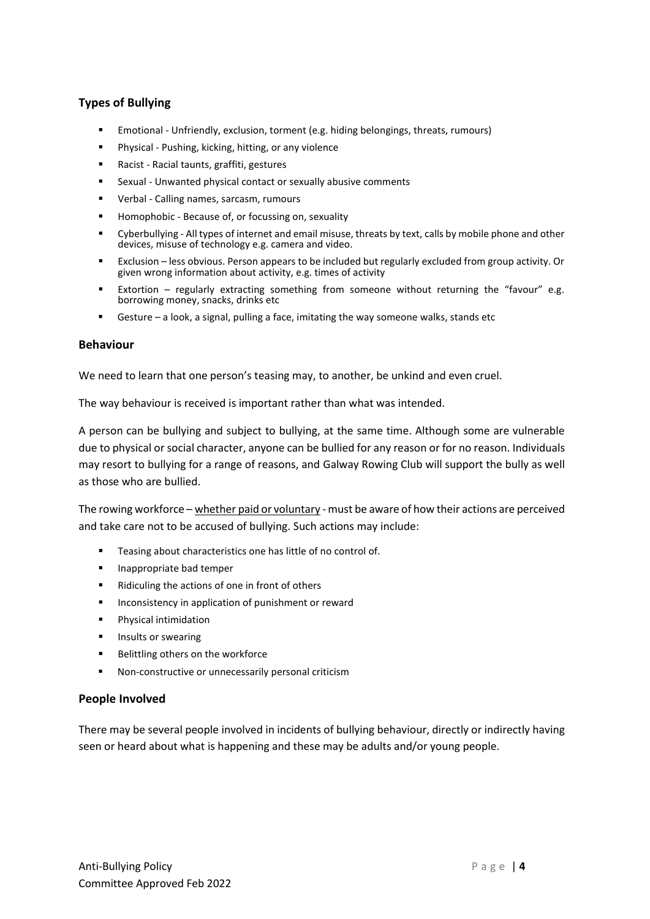# <span id="page-3-0"></span>**Types of Bullying**

- **Emotional Unfriendly, exclusion, torment (e.g. hiding belongings, threats, rumours)**
- Physical Pushing, kicking, hitting, or any violence
- Racist Racial taunts, graffiti, gestures
- Sexual Unwanted physical contact or sexually abusive comments
- Verbal Calling names, sarcasm, rumours
- Homophobic Because of, or focussing on, sexuality
- Cyberbullying All types of internet and email misuse, threats by text, calls by mobile phone and other devices, misuse of technology e.g. camera and video.
- Exclusion less obvious. Person appears to be included but regularly excluded from group activity. Or given wrong information about activity, e.g. times of activity
- Extortion regularly extracting something from someone without returning the "favour" e.g. borrowing money, snacks, drinks etc
- Gesture  $-$  a look, a signal, pulling a face, imitating the way someone walks, stands etc

#### <span id="page-3-1"></span>**Behaviour**

We need to learn that one person's teasing may, to another, be unkind and even cruel.

The way behaviour is received is important rather than what was intended.

A person can be bullying and subject to bullying, at the same time. Although some are vulnerable due to physical or social character, anyone can be bullied for any reason or for no reason. Individuals may resort to bullying for a range of reasons, and Galway Rowing Club will support the bully as well as those who are bullied.

The rowing workforce – whether paid or voluntary - must be aware of how their actions are perceived and take care not to be accused of bullying. Such actions may include:

- Teasing about characteristics one has little of no control of.
- Inappropriate bad temper
- Ridiculing the actions of one in front of others
- Inconsistency in application of punishment or reward
- Physical intimidation
- Insults or swearing
- Belittling others on the workforce
- Non-constructive or unnecessarily personal criticism

#### <span id="page-3-2"></span>**People Involved**

There may be several people involved in incidents of bullying behaviour, directly or indirectly having seen or heard about what is happening and these may be adults and/or young people.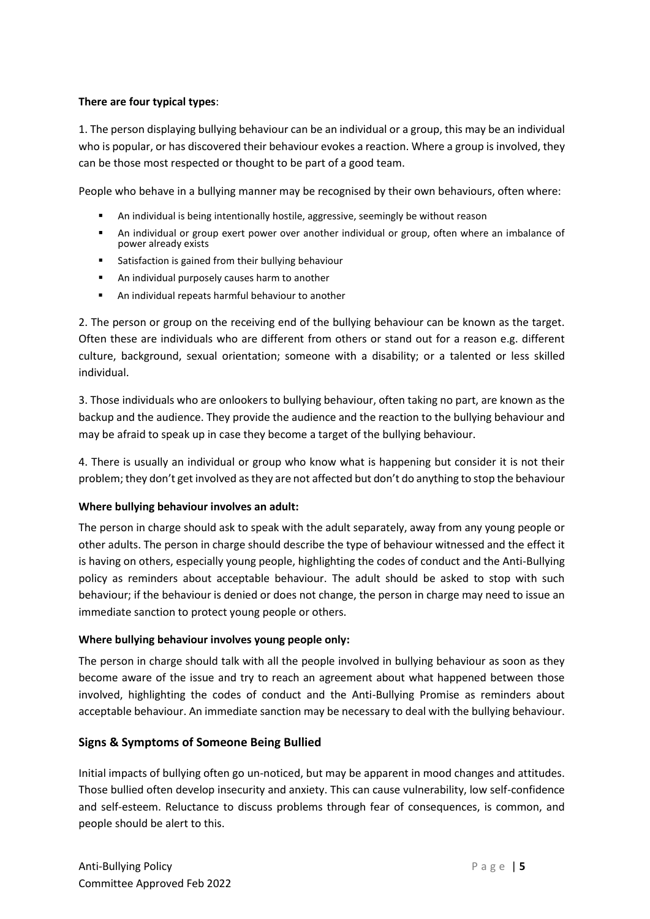# **There are four typical types**:

1. The person displaying bullying behaviour can be an individual or a group, this may be an individual who is popular, or has discovered their behaviour evokes a reaction. Where a group is involved, they can be those most respected or thought to be part of a good team.

People who behave in a bullying manner may be recognised by their own behaviours, often where:

- An individual is being intentionally hostile, aggressive, seemingly be without reason
- An individual or group exert power over another individual or group, often where an imbalance of power already exists
- Satisfaction is gained from their bullying behaviour
- An individual purposely causes harm to another
- An individual repeats harmful behaviour to another

2. The person or group on the receiving end of the bullying behaviour can be known as the target. Often these are individuals who are different from others or stand out for a reason e.g. different culture, background, sexual orientation; someone with a disability; or a talented or less skilled individual.

3. Those individuals who are onlookers to bullying behaviour, often taking no part, are known as the backup and the audience. They provide the audience and the reaction to the bullying behaviour and may be afraid to speak up in case they become a target of the bullying behaviour.

4. There is usually an individual or group who know what is happening but consider it is not their problem; they don't get involved as they are not affected but don't do anything to stop the behaviour

#### **Where bullying behaviour involves an adult:**

The person in charge should ask to speak with the adult separately, away from any young people or other adults. The person in charge should describe the type of behaviour witnessed and the effect it is having on others, especially young people, highlighting the codes of conduct and the Anti-Bullying policy as reminders about acceptable behaviour. The adult should be asked to stop with such behaviour; if the behaviour is denied or does not change, the person in charge may need to issue an immediate sanction to protect young people or others.

#### **Where bullying behaviour involves young people only:**

The person in charge should talk with all the people involved in bullying behaviour as soon as they become aware of the issue and try to reach an agreement about what happened between those involved, highlighting the codes of conduct and the Anti-Bullying Promise as reminders about acceptable behaviour. An immediate sanction may be necessary to deal with the bullying behaviour.

# <span id="page-4-0"></span>**Signs & Symptoms of Someone Being Bullied**

Initial impacts of bullying often go un-noticed, but may be apparent in mood changes and attitudes. Those bullied often develop insecurity and anxiety. This can cause vulnerability, low self-confidence and self-esteem. Reluctance to discuss problems through fear of consequences, is common, and people should be alert to this.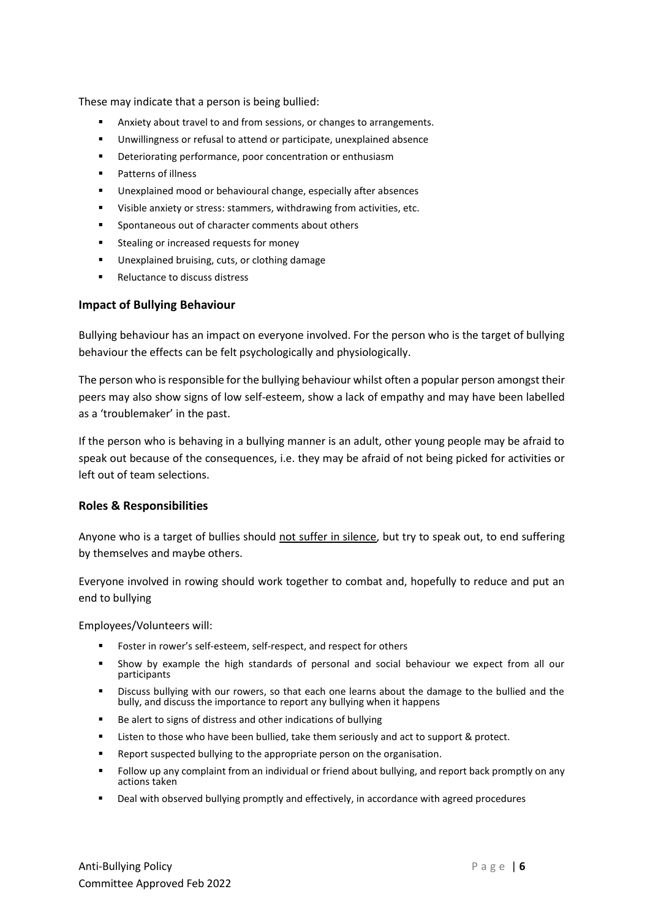These may indicate that a person is being bullied:

- Anxiety about travel to and from sessions, or changes to arrangements.
- Unwillingness or refusal to attend or participate, unexplained absence
- Deteriorating performance, poor concentration or enthusiasm
- Patterns of illness
- Unexplained mood or behavioural change, especially after absences
- Visible anxiety or stress: stammers, withdrawing from activities, etc.
- Spontaneous out of character comments about others
- Stealing or increased requests for money
- Unexplained bruising, cuts, or clothing damage
- Reluctance to discuss distress

## <span id="page-5-0"></span>**Impact of Bullying Behaviour**

Bullying behaviour has an impact on everyone involved. For the person who is the target of bullying behaviour the effects can be felt psychologically and physiologically.

The person who is responsible for the bullying behaviour whilst often a popular person amongst their peers may also show signs of low self-esteem, show a lack of empathy and may have been labelled as a 'troublemaker' in the past.

If the person who is behaving in a bullying manner is an adult, other young people may be afraid to speak out because of the consequences, i.e. they may be afraid of not being picked for activities or left out of team selections.

# <span id="page-5-1"></span>**Roles & Responsibilities**

Anyone who is a target of bullies should not suffer in silence, but try to speak out, to end suffering by themselves and maybe others.

Everyone involved in rowing should work together to combat and, hopefully to reduce and put an end to bullying

Employees/Volunteers will:

- Foster in rower's self-esteem, self-respect, and respect for others
- Show by example the high standards of personal and social behaviour we expect from all our participants
- Discuss bullying with our rowers, so that each one learns about the damage to the bullied and the bully, and discuss the importance to report any bullying when it happens
- Be alert to signs of distress and other indications of bullying
- Listen to those who have been bullied, take them seriously and act to support & protect.
- Report suspected bullying to the appropriate person on the organisation.
- Follow up any complaint from an individual or friend about bullying, and report back promptly on any actions taken
- Deal with observed bullying promptly and effectively, in accordance with agreed procedures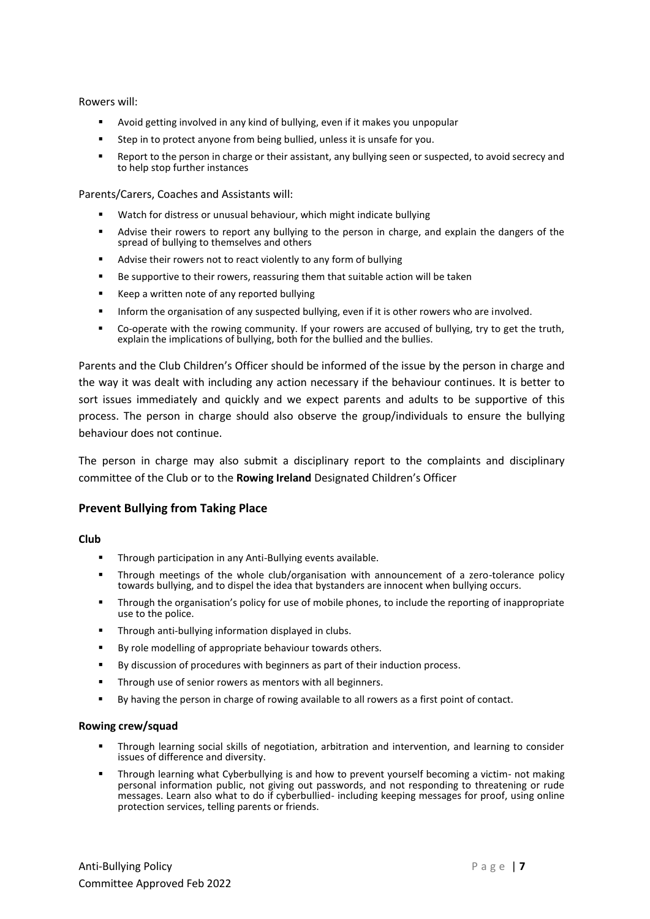Rowers will:

- Avoid getting involved in any kind of bullying, even if it makes you unpopular
- Step in to protect anyone from being bullied, unless it is unsafe for you.
- Report to the person in charge or their assistant, any bullying seen or suspected, to avoid secrecy and to help stop further instances

Parents/Carers, Coaches and Assistants will:

- Watch for distress or unusual behaviour, which might indicate bullying
- Advise their rowers to report any bullying to the person in charge, and explain the dangers of the spread of bullying to themselves and others
- Advise their rowers not to react violently to any form of bullying
- Be supportive to their rowers, reassuring them that suitable action will be taken
- Keep a written note of any reported bullying
- **■** Inform the organisation of any suspected bullying, even if it is other rowers who are involved.
- Co-operate with the rowing community. If your rowers are accused of bullying, try to get the truth, explain the implications of bullying, both for the bullied and the bullies.

Parents and the Club Children's Officer should be informed of the issue by the person in charge and the way it was dealt with including any action necessary if the behaviour continues. It is better to sort issues immediately and quickly and we expect parents and adults to be supportive of this process. The person in charge should also observe the group/individuals to ensure the bullying behaviour does not continue.

The person in charge may also submit a disciplinary report to the complaints and disciplinary committee of the Club or to the **Rowing Ireland** Designated Children's Officer

#### <span id="page-6-0"></span>**Prevent Bullying from Taking Place**

#### **Club**

- Through participation in any Anti-Bullying events available.
- **■** Through meetings of the whole club/organisation with announcement of a zero-tolerance policy towards bullying, and to dispel the idea that bystanders are innocent when bullying occurs.
- **•** Through the organisation's policy for use of mobile phones, to include the reporting of inappropriate use to the police.
- Through anti-bullying information displayed in clubs.
- By role modelling of appropriate behaviour towards others.
- By discussion of procedures with beginners as part of their induction process.
- **·** Through use of senior rowers as mentors with all beginners.
- By having the person in charge of rowing available to all rowers as a first point of contact.

#### **Rowing crew/squad**

- Through learning social skills of negotiation, arbitration and intervention, and learning to consider issues of difference and diversity.
- Through learning what Cyberbullying is and how to prevent yourself becoming a victim- not making personal information public, not giving out passwords, and not responding to threatening or rude messages. Learn also what to do if cyberbullied- including keeping messages for proof, using online protection services, telling parents or friends.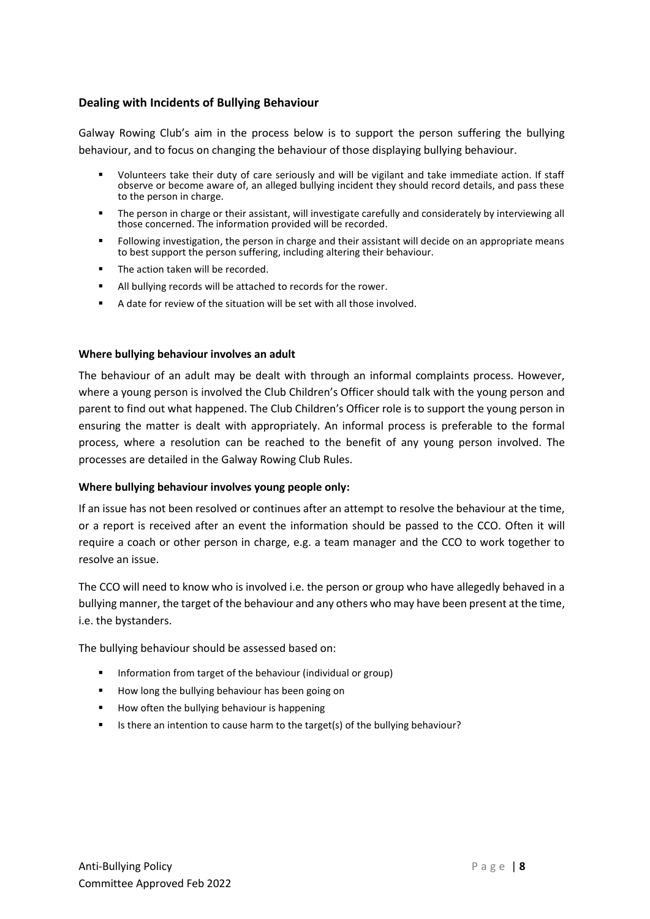# <span id="page-7-0"></span>**Dealing with Incidents of Bullying Behaviour**

Galway Rowing Club's aim in the process below is to support the person suffering the bullying behaviour, and to focus on changing the behaviour of those displaying bullying behaviour.

- Volunteers take their duty of care seriously and will be vigilant and take immediate action. If staff observe or become aware of, an alleged bullying incident they should record details, and pass these to the person in charge.
- The person in charge or their assistant, will investigate carefully and considerately by interviewing all those concerned. The information provided will be recorded.
- Following investigation, the person in charge and their assistant will decide on an appropriate means to best support the person suffering, including altering their behaviour.
- The action taken will be recorded.
- All bullying records will be attached to records for the rower.
- A date for review of the situation will be set with all those involved.

#### **Where bullying behaviour involves an adult**

The behaviour of an adult may be dealt with through an informal complaints process. However, where a young person is involved the Club Children's Officer should talk with the young person and parent to find out what happened. The Club Children's Officer role is to support the young person in ensuring the matter is dealt with appropriately. An informal process is preferable to the formal process, where a resolution can be reached to the benefit of any young person involved. The processes are detailed in the Galway Rowing Club Rules.

#### **Where bullying behaviour involves young people only:**

If an issue has not been resolved or continues after an attempt to resolve the behaviour at the time, or a report is received after an event the information should be passed to the CCO. Often it will require a coach or other person in charge, e.g. a team manager and the CCO to work together to resolve an issue.

The CCO will need to know who is involved i.e. the person or group who have allegedly behaved in a bullying manner, the target of the behaviour and any others who may have been present at the time, i.e. the bystanders.

The bullying behaviour should be assessed based on:

- Information from target of the behaviour (individual or group)
- How long the bullying behaviour has been going on
- How often the bullying behaviour is happening
- <span id="page-7-1"></span>▪ Is there an intention to cause harm to the target(s) of the bullying behaviour?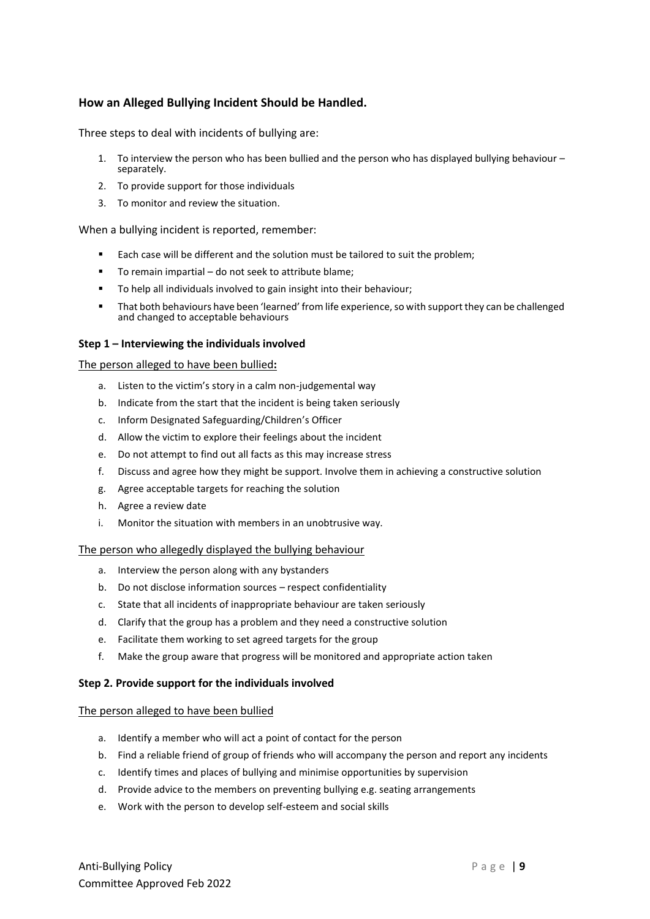# **How an Alleged Bullying Incident Should be Handled.**

Three steps to deal with incidents of bullying are:

- 1. To interview the person who has been bullied and the person who has displayed bullying behaviour separately.
- 2. To provide support for those individuals
- 3. To monitor and review the situation.

When a bullying incident is reported, remember:

- Each case will be different and the solution must be tailored to suit the problem;
- To remain impartial do not seek to attribute blame;
- To help all individuals involved to gain insight into their behaviour;
- That both behaviours have been 'learned' from life experience, so with support they can be challenged and changed to acceptable behaviours

#### **Step 1 – Interviewing the individuals involved**

#### The person alleged to have been bullied**:**

- a. Listen to the victim's story in a calm non-judgemental way
- b. Indicate from the start that the incident is being taken seriously
- c. Inform Designated Safeguarding/Children's Officer
- d. Allow the victim to explore their feelings about the incident
- e. Do not attempt to find out all facts as this may increase stress
- f. Discuss and agree how they might be support. Involve them in achieving a constructive solution
- g. Agree acceptable targets for reaching the solution
- h. Agree a review date
- i. Monitor the situation with members in an unobtrusive way.

#### The person who allegedly displayed the bullying behaviour

- a. Interview the person along with any bystanders
- b. Do not disclose information sources respect confidentiality
- c. State that all incidents of inappropriate behaviour are taken seriously
- d. Clarify that the group has a problem and they need a constructive solution
- e. Facilitate them working to set agreed targets for the group
- f. Make the group aware that progress will be monitored and appropriate action taken

#### **Step 2. Provide support for the individuals involved**

#### <span id="page-8-0"></span>The person alleged to have been bullied

- a. Identify a member who will act a point of contact for the person
- b. Find a reliable friend of group of friends who will accompany the person and report any incidents
- c. Identify times and places of bullying and minimise opportunities by supervision
- d. Provide advice to the members on preventing bullying e.g. seating arrangements
- e. Work with the person to develop self-esteem and social skills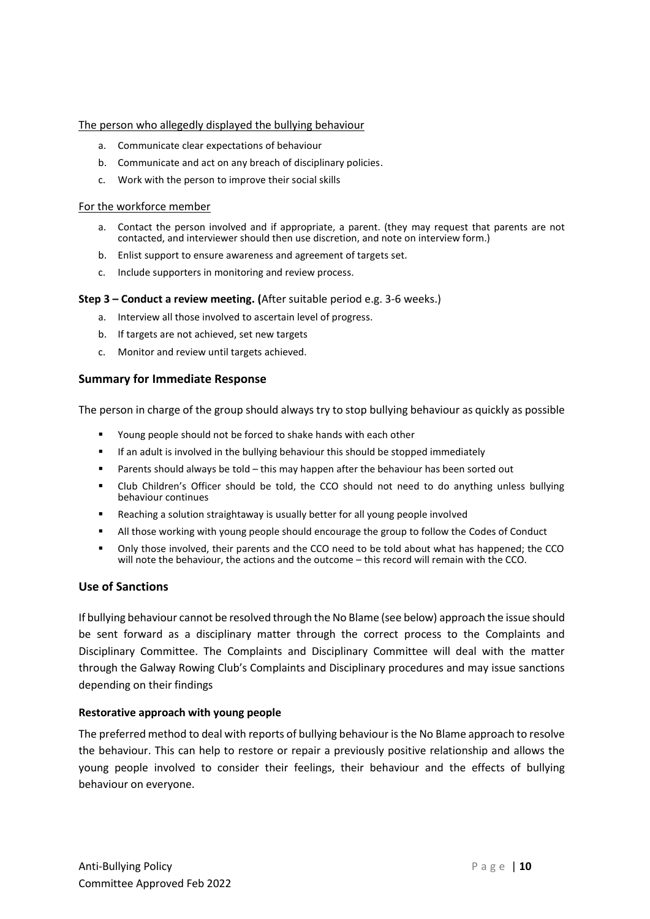#### The person who allegedly displayed the bullying behaviour

- a. Communicate clear expectations of behaviour
- b. Communicate and act on any breach of disciplinary policies.
- c. Work with the person to improve their social skills

#### <span id="page-9-0"></span>For the workforce member

- a. Contact the person involved and if appropriate, a parent. (they may request that parents are not contacted, and interviewer should then use discretion, and note on interview form.)
- b. Enlist support to ensure awareness and agreement of targets set.
- c. Include supporters in monitoring and review process.

#### **Step 3 – Conduct a review meeting. (**After suitable period e.g. 3-6 weeks.)

- a. Interview all those involved to ascertain level of progress.
- b. If targets are not achieved, set new targets
- c. Monitor and review until targets achieved.

#### <span id="page-9-1"></span>**Summary for Immediate Response**

The person in charge of the group should always try to stop bullying behaviour as quickly as possible

- Young people should not be forced to shake hands with each other
- **■** If an adult is involved in the bullying behaviour this should be stopped immediately
- Parents should always be told this may happen after the behaviour has been sorted out
- Club Children's Officer should be told, the CCO should not need to do anything unless bullying behaviour continues
- Reaching a solution straightaway is usually better for all young people involved
- **■** All those working with young people should encourage the group to follow the Codes of Conduct
- Only those involved, their parents and the CCO need to be told about what has happened; the CCO will note the behaviour, the actions and the outcome – this record will remain with the CCO.

#### <span id="page-9-2"></span>**Use of Sanctions**

If bullying behaviour cannot be resolved through the No Blame (see below) approach the issue should be sent forward as a disciplinary matter through the correct process to the Complaints and Disciplinary Committee. The Complaints and Disciplinary Committee will deal with the matter through the Galway Rowing Club's Complaints and Disciplinary procedures and may issue sanctions depending on their findings

#### **Restorative approach with young people**

The preferred method to deal with reports of bullying behaviour is the No Blame approach to resolve the behaviour. This can help to restore or repair a previously positive relationship and allows the young people involved to consider their feelings, their behaviour and the effects of bullying behaviour on everyone.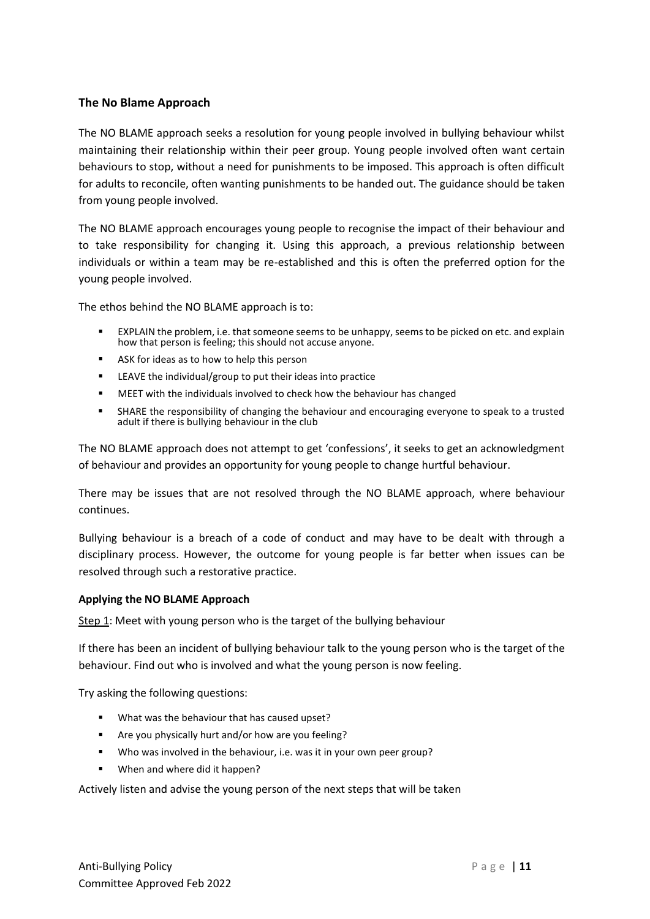# <span id="page-10-0"></span>**The No Blame Approach**

The NO BLAME approach seeks a resolution for young people involved in bullying behaviour whilst maintaining their relationship within their peer group. Young people involved often want certain behaviours to stop, without a need for punishments to be imposed. This approach is often difficult for adults to reconcile, often wanting punishments to be handed out. The guidance should be taken from young people involved.

The NO BLAME approach encourages young people to recognise the impact of their behaviour and to take responsibility for changing it. Using this approach, a previous relationship between individuals or within a team may be re-established and this is often the preferred option for the young people involved.

The ethos behind the NO BLAME approach is to:

- EXPLAIN the problem, i.e. that someone seems to be unhappy, seems to be picked on etc. and explain how that person is feeling; this should not accuse anyone.
- ASK for ideas as to how to help this person
- LEAVE the individual/group to put their ideas into practice
- MEET with the individuals involved to check how the behaviour has changed
- SHARE the responsibility of changing the behaviour and encouraging everyone to speak to a trusted adult if there is bullying behaviour in the club

The NO BLAME approach does not attempt to get 'confessions', it seeks to get an acknowledgment of behaviour and provides an opportunity for young people to change hurtful behaviour.

There may be issues that are not resolved through the NO BLAME approach, where behaviour continues.

Bullying behaviour is a breach of a code of conduct and may have to be dealt with through a disciplinary process. However, the outcome for young people is far better when issues can be resolved through such a restorative practice.

#### **Applying the NO BLAME Approach**

Step 1: Meet with young person who is the target of the bullying behaviour

If there has been an incident of bullying behaviour talk to the young person who is the target of the behaviour. Find out who is involved and what the young person is now feeling.

Try asking the following questions:

- What was the behaviour that has caused upset?
- Are you physically hurt and/or how are you feeling?
- Who was involved in the behaviour, i.e. was it in your own peer group?
- When and where did it happen?

Actively listen and advise the young person of the next steps that will be taken